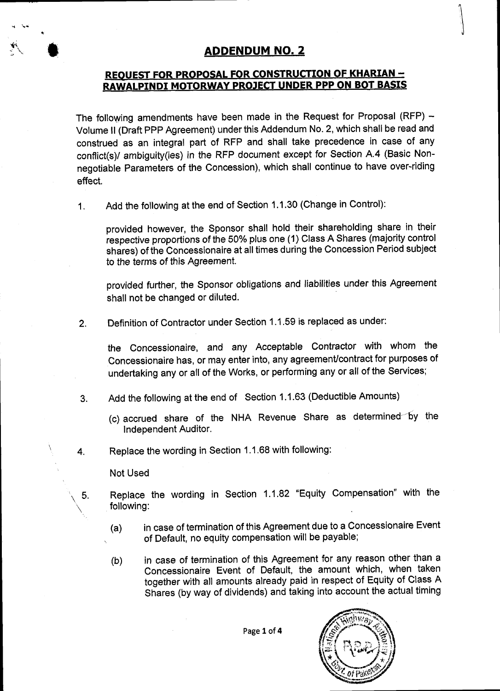# ADDENDUM NO. 2

## REQUEST FOR PROPOSAL FOR CONSTRUCTION OF KHARIAN -RAWALPINDI MOTORWAY PROJECT UNDER PPP ON BOT BASIS

The following amendments have been made in the Request for Proposal (RFP)  $-$ Volume II (Draft PPP Agreement) under this Addendum No. 2, which shall be read and construed as an integral part of RFP and shall take precedence in case of any conflict(s)/ ambiguity(ies) in the RFP document except for Section A.4 (Basic Nonnegotiable Parameters of the Concession), which shall continue to have over-riding effect.

1. Add the following at the end of Section 1.1.30 (Change in Control):

provided however, the Sponsor shall hold their shareholding share in their respective proportions of the 50% plus one (1) Class A Shares (majority control shares) of the Concessionaire at all times during the Concession Period subject to the terms of this Agreement.

provided further, the Sponsor obligations and liabilities under this Agreement shall not be changed or diluted.

2. Definition of Contractor under Section 1.1.59 is replaced as under:

the Concessionaire, and any Acceptable Contractor with whom the Concessionaire has, or may enter into, any agreemenUcontract for purposes of undertaking any or all of the Works, or performing any or all of the Services;

- Add the following at the end of Section 1.1.63 (Deductible Amounts)  $3.$ 
	- (c) accrued share of the NHA Revenue Share as determined by the Independent Auditor.
- Replace the wording in Section 1.1.68 with following: 4.

Not Used

\5,

- Replace the wording in Section 1.1.82 "Equity Compensation" with the following:
- in case of termination of this Agreement due to a Concessionaire Event of Default, no equity compensation will be payable; (a)
- in case of termination of this Agreement for any reason other than a Concessionaire Event of Default, the amount which, when taken together with all amounts already paid in respect of Equity of Class A Shares (by way of dividends) and taking into account the actual timing (b)

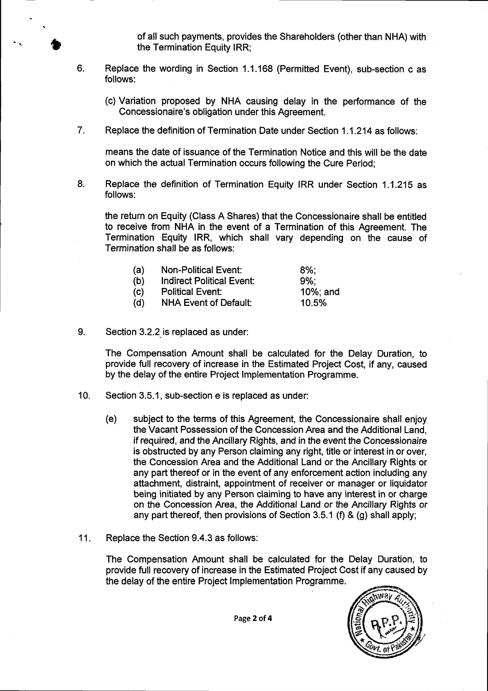of all such payments, provides the Shareholders (other than NHA) with the Termination Equity IRR;

- Replace the wording in Section 1.1.168 (Permitted Event), sub-section cas follows: 6.
	- (c) Variation proposed by NHA causing delay in the performance of the Concessionaire's obligation under this Agreement.
- Repface the definition of Termination Date under Section 1.1.214 as follows: 7.

means the date of issuance of the Termination Notice and this will be the date on which the actual Termination occurs following the Cure Period;

8. Repface the definition of Termination Equity IRR under Section 1.1.215 as follows:

the return on Equity (Class A Shares) that the Concessionaire shall be entitled to receive from NHA in the event of a Termination of this Agreement. The Termination Equity lRR, which shall vary depending on the cause of Termination shall be as follows:

| (a) | <b>Non-Political Event:</b>      | $8\%$ :  |
|-----|----------------------------------|----------|
| (b) | <b>Indirect Political Event:</b> | $9\%$ :  |
| (c) | <b>Political Event:</b>          | 10%; and |
| (d) | <b>NHA Event of Default:</b>     | 10.5%    |

9. Section 3.2.2 is replaced as under:

o

The Compensation Amount shall be calculated for the Delay Duration, to provide full recovery of increase in the Estimated Project Cost, if any, caused by the delay of the entire Project lmplementation Programme.

- 10. Section 3.5.1, sub-section e is replaced as under:
	- (e) subject to the terms of this Agreement, the Concessionaire shall enjoy the Vacant Possession of the Concession Area and the Additional Land, if required, and the Ancillary Rights, and in the event the Concessionaire is obstructed by any Person claiming any right, title or interest in or over, the Concession Area and the Additional Land or the Ancillary Rights or any part thereof or in the event of any enforcement action including any attachment, distraint, appointment of receiver or manager or liquidator being initiated by any Person claiming to have any interest in or charge on the Concession Area, the Additional Land or the Ancillary Rights or any part thereof, then provisions of Section 3.5.1 (f) & (g) shall apply;
- 11. Replace the Section 9.4.3 as follows:

The Compensation Amount shall be calculated for the Delay Duration, to provide full recovery of increase in the Estimated Project Cost if any caused by the delay of the entire Project lmplementation Programme.



Page 2 of 4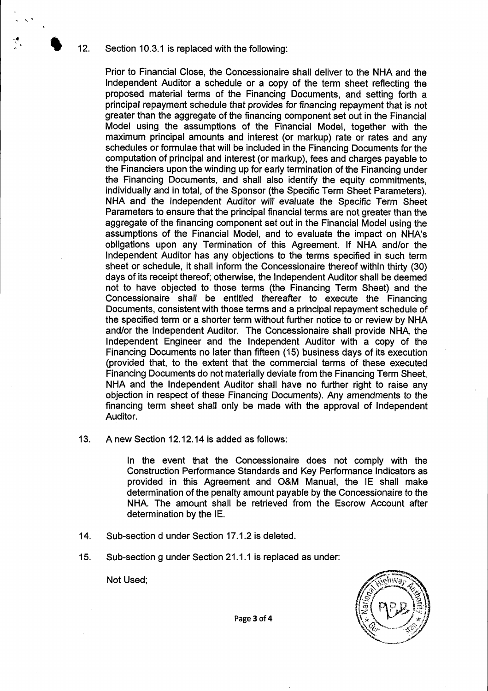12. Section 10.3.1 is replaced with the following:

Prior to Financial Close, the Concessionaire shall deliver to the NHA and the lndependent Auditor a schedule or a copy of the term sheet reflecting the proposed material terms of the Financing Documents, and setting forth a principal repayment schedule that provides for financing repayment that is not greater than the aggregate of the financing component set out in the Financial Model using the assumptions of the Financial Model, together with the maximum principal amounts and interest (or markup) rate or rates and any schedules or formulae that will be included in the Financing Documents for the computation of principal and interest (or markup), fees and charges payable to the Financiers upon the winding up for early termination of the Financing under the Financing Documents, and shall also identify the equity commitments, individually and in total, of the Sponsor (the Specific Term Sheet Parameters). NHA and the Independent Auditor will evaluate the Specific Term Sheet Parameters to ensure that the principal financial terms are not greater than the aggregate of the financing component set out in the Financial Model using the assumptions of the Financial Model, and to evaluate the impact on NHA's obligations upon any Termination of this Agreement. lf NHA and/or the Independent Auditor has any objections to the terms specified in such term sheet or schedule, it shall inform the Concessionaire thereof within thirty (30) days of its receipt thereof; otherwise, the Independent Auditor shall be deemed not to have objected to those terms (the Financing Term Sheet) and the Concessionaire shall be entitled thereafter to execute the Financing Documents, consistent with those terms and a principal repayment schedule of the specified term or a shorter term without further notice to or review by NHA and/or the lndependent Auditor. The Concessionaire shall provide NHA, the Independent Engineer and the Independent Auditor with a copy of the Financing Documents no later than fifteen (15) business days of its execution (provided that, to the extent that the commercial terms of these executed Financing Documents do not materially deviate from the Financing Term Sheet, NHA and the Independent Auditor shall have no further right to raise any objection in respect of these Financing Documents). Any amendments to the financing term sheet shall only be made with the approval of Independent Auditor.

A new Section 12,12.14 is added as follows: 13.

> In the event that the Concessionaire does not comply with the Construction Performance Standards and Key Performance Indicators as provided in this Agreement and O&M Manual, the lE shall make determination of the penalty amount payable by the Concessionaire to the NHA. The amount shall be retrieved from the Escrow Account after determination by the lE.

- Sub-section dunder Section 17.1.2 is deleted. 14.
- Sub-section g under Section 21.1.1 is replaced as under: 15.

Not Used:



Page 3 of 4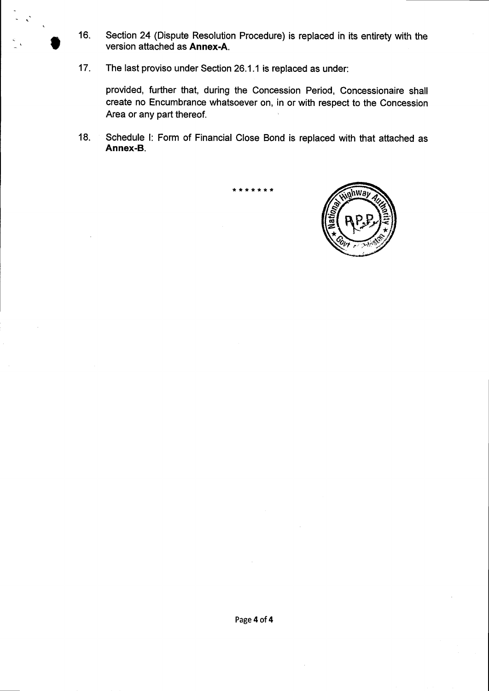Section 24 (Dispute Resolution Procedure) is replaced in its entirety with the  $16.$ version attached as Annex-A.

 $17.$ The last proviso under Section 26.1.1 is replaced as under:

provided, further that, during the Concession Period, Concessionaire shall create no Encumbrance whatsoever on, in or with respect to the Concession Area or any part thereof.

Schedule I: Form of Financial Close Bond is replaced with that attached as  $18.$ Annex-B.

. . . . . .

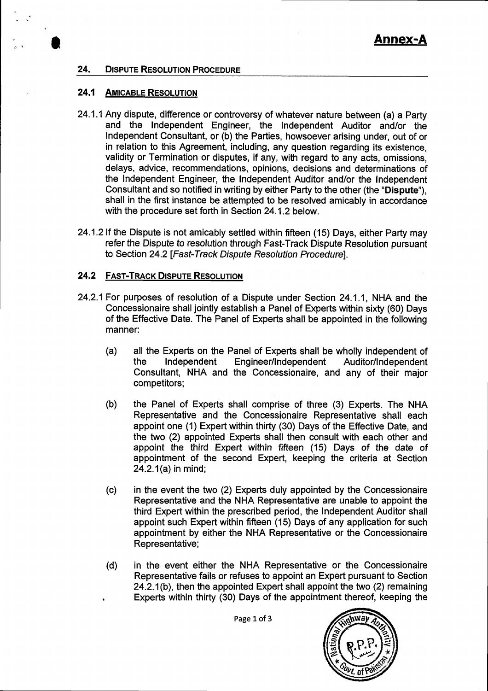#### 24. **DISPUTE RESOLUTION PROCEDURE**

#### $24.1$ **AMICABLE RESOLUTION**

- 24.1.1 Any dispute, difference or controversy of whatever nature between (a) a Party and the Independent Engineer, the Independent Auditor and/or the Independent Consultant, or (b) the Parties, howsoever arising under, out of or in relation to this Agreement, including, any question regarding its existence. validity or Termination or disputes, if any, with regard to any acts, omissions, delays, advice, recommendations, opinions, decisions and determinations of the Independent Engineer, the Independent Auditor and/or the Independent Consultant and so notified in writing by either Party to the other (the "Dispute"). shall in the first instance be attempted to be resolved amicably in accordance with the procedure set forth in Section 24.1.2 below.
- 24.1.2 If the Dispute is not amicably settled within fifteen (15) Days, either Party may refer the Dispute to resolution through Fast-Track Dispute Resolution pursuant to Section 24.2 [Fast-Track Dispute Resolution Procedure].

#### **24.2 FAST-TRACK DISPUTE RESOLUTION**

- 24.2.1 For purposes of resolution of a Dispute under Section 24.1.1, NHA and the Concessionaire shall jointly establish a Panel of Experts within sixty (60) Days of the Effective Date. The Panel of Experts shall be appointed in the following manner:
	- $(a)$ all the Experts on the Panel of Experts shall be wholly independent of Independent Engineer/Independent the Auditor/Independent Consultant, NHA and the Concessionaire, and any of their major competitors;
	- $(b)$ the Panel of Experts shall comprise of three (3) Experts. The NHA Representative and the Concessionaire Representative shall each appoint one (1) Expert within thirty (30) Days of the Effective Date, and the two (2) appointed Experts shall then consult with each other and appoint the third Expert within fifteen (15) Days of the date of appointment of the second Expert, keeping the criteria at Section 24.2.1(a) in mind;
	- in the event the two (2) Experts duly appointed by the Concessionaire  $(c)$ Representative and the NHA Representative are unable to appoint the third Expert within the prescribed period, the Independent Auditor shall appoint such Expert within fifteen (15) Days of any application for such appointment by either the NHA Representative or the Concessionaire Representative;
	- in the event either the NHA Representative or the Concessionaire  $(d)$ Representative fails or refuses to appoint an Expert pursuant to Section 24.2.1(b), then the appointed Expert shall appoint the two (2) remaining Experts within thirty (30) Days of the appointment thereof, keeping the



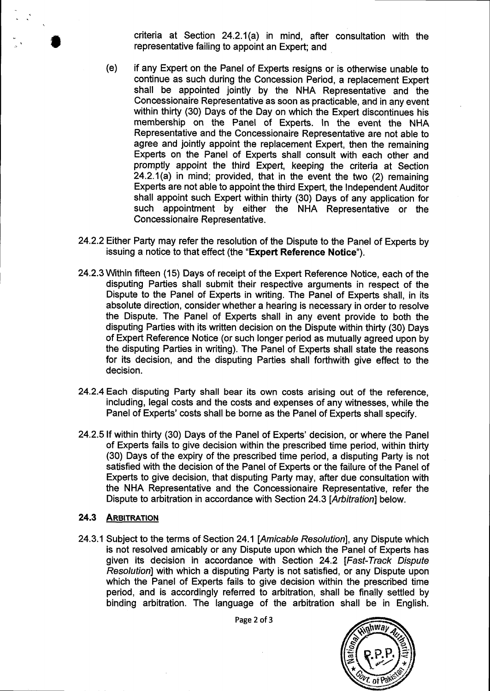- criteria at Section 24.2.1(a) in mind, after consultation with the representative failing to appoint an Expert; and

- (e) if any Expert on the Panel of Experts resigns or is otherwise unable to continue as such during the Concession Period, a replacement Expert shall be appointed jointly by the NHA Representative and the Concessionaire Representative as soon as practicable, and in any event within thirty (30) Days of the Day on which the Expert discontinues his membership on the Panel of Experts. In the event the NHA Representative and the concessionaire Representative are not able to agree and jointly appoint the replacement Expert, then the remaining Experts on the Panel of Experts shall consult with each other and promptly appoint the third Expert, keeping the criteria at Section 24.2.1(a) in mind; provided, that in the event the two (2) remaining Experts are not able to appoint the third Expert, the Independent Auditor shall appoint such Expert within thirty (30) Days of any application for such appointment by either the NHA Representative or the Concessionaire Representative.
- 24.2.2 Either Party may refer the resolution of the Dispute to the Panel of Experts by issuing a notice to that effect (the "Expert Reference Notice").
- 24.2.3 \Mthin fifteen (15) Days of receipt of the Expert Reference Notice, each of the disputing Parties shall submit their respective arguments in respect of the Dispute to the Panel of Experts in writing. The Panel of Experts shall, in its absolute direction, consider whether a hearing is necessary in order to resolve the Dispute. The Panel of Experts shall in any event provide to both the disputing Parties with its written decision on the Dispute within thirty (30) Days of Expert Reference Notice (or such longer period as mutually agreed upon by the disputing Parties in writing). The Panel of Experts shall state the reasons for its decision, and the disputing Parties shall forthwith give effect to the decision.
- 24.2.4 Each disputing Party shall bear its own costs arising out of the reference, including, legal costs and the costs and expenses of any witnesses, while the Panel of Experts' costs shall be borne as the Panel of Experts shall specify.
- 24.2.5lf within thirty (30) Days of the Panel of Experts' decision, or where the Panel of Experts fails to give decision within the prescribed time period, within thirty (30) Days of the expiry of the prescribed time period, a disputing Party is not satisfied with the decision of the Panel of Experts or the failure of the Panel of Experts to give decision, that disputing Party may, after due consultation with the NHA Representative and the Concessionaire Representative, refer the Dispute to arbitration in accordance with Section 24.3 [Arbitration] below.

#### 24.3 ARBITRATION

24.3.1 Subject to the terms of Section 24.1 [Amicable Resolution], any Dispute which is not resolved amicably or any Dispute upon which the Panel of Experts has given its decision in accordance with Section 24.2 [Fast-Track Dispute Resolutionl with which a disputing Party is not satisfied, or any Dispute upon which the Panel of Experts fails to give decision within the prescribed time period, and is accordingly referred to arbitration, shall be finally settled by binding arbitration. The language of the arbitration shall be in English.

Page 2 of 3

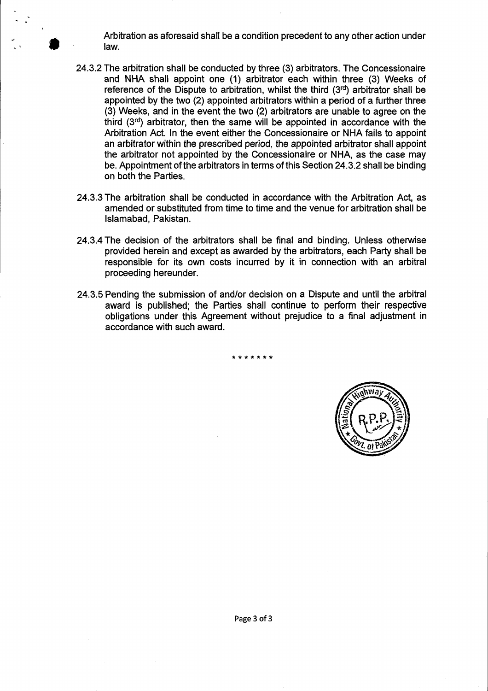Arbitration as aforesaid shall be a condition precedent to any other action under law.

I

- 24.3.2The arbitration shall be conducted by three (3) arbitrators. The Concessionaire and NHA shall appoint one (1) arbitrator each within three (3) Weeks of reference of the Dispute to arbitration, whilst the third  $(3<sup>rd</sup>)$  arbitrator shall be appointed by the two (2) appointed arbitrators within a period of a further three (3) Weeks, and in the event the two (2) arbitrators are unable to agree on the third  $(3<sup>rd</sup>)$  arbitrator, then the same will be appointed in accordance with the Arbitration Act. In the event either the Concessionaire or NHA fails to appoint an arbitrator within the prescribed period, the appointed arbitrator shall appoint the arbitrator not appointed by the Concessionaire or NHA, as the case may be. Appointment of the arbitrators in terms of this Section 24.3.2 shall be binding on both the Parties.
- 24.3.3The arbitration shall be conducted in accordance with the Arbitration Act, as amended or substituted from time to time and the venue for arbitration shall be lslamabad, Pakistan.
- 24.3.4The decision of the arbitrators shall be final and binding. Unless otherwise provided herein and except as awarded by the arbitrators, each Party shall be responsible for its own costs incurred by it in connection with an arbitral proceeding hereunder.
- 24.3.5 Pending the submission of and/or decision on a Dispute and until the arbitral award is published; the Parties shall continue to perform their respective obligations under this Agreement without prejudice to a final adjustment in accordance with such award.

\*\*\*\*\*\*\*

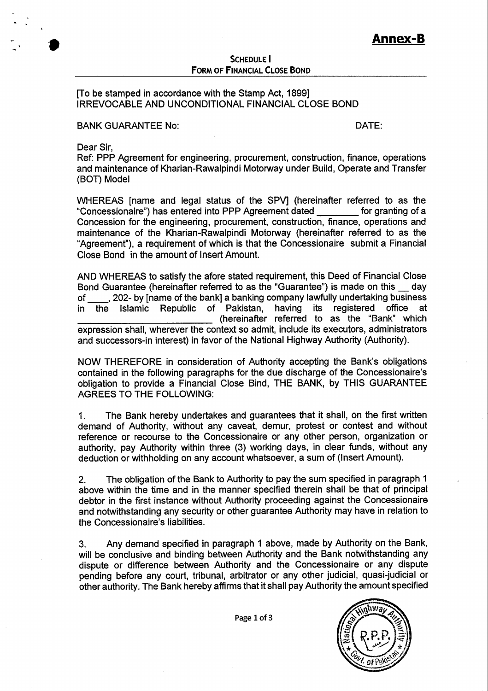### **SCHEDULE I FORM OF FINANCIAL CLOSE BOND**

### [To be stamped in accordance with the Stamp Act, 1899] IRREVOCABLE AND UNCONDITIONAL FINANCIAL CLOSE BOND

BANK GUARANTEE No: DATE:

Dear Sir,

I

Ref: PPP Agreement for engineering, procurement, construction, finance, operations and maintenance of Kharian-Rawalpindi Motorway under Build, Operate and Transfer (BOT) Model

WHEREAS [name and legal status of the SPV] (hereinafter referred to as the "Concessionaire") has entered into PPP Agreement dated for granting of a "Concessionaire") has entered into PPP Agreement dated Concession for the engineering, procurement, construction, finance, operations and maintenance of the Kharian-Rawalpindi Motorway (hereinafter referred to as the "Agreement"), a requirement of which is that the Concessionaire submit a Financial Close Bond in the amount of lnsert Amount.

AND WHEREAS to satisfy the afore stated requirement, this Deed of Financial Close Bond Guarantee (hereinafter referred to as the "Guarantee") is made on this  $\_\_$  day of ... 202- by Iname of the bankl a banking company lawfully undertaking business of \_\_\_\_, 202- by [name of the bank] a banking company lawfully undertaking business<br>in the Islamic Republic of Pakistan, having its registered office at Islamic Republic of Pakistan, (hereinafter referred to as the "Bank" which expression shall, wherever the context so admit, include its executors, administrators and successors-in interest) in favor of the National Highway Authority (Authority).

NOW THEREFORE in consideration of Authority accepting the Bank's obligations contained in the following paragraphs for the due discharge of the Goncessionaire's obligation to provide a Financial Close Bind, THE BANK, by THIS GUARANTEE AGREES TO THE FOLLOWING:

1. The Bank hereby undertakes and guarantees that it shall, on the first written demand of Authority, without any caveat, demur, protest or contest and without reference or recourse to the Concessionaire or any other person, organization or authority, pay Authority within three (3) working days, in clear funds, without any deduction or withholding on any account whatsoever, a sum of (Insert Amount).

2. The obligation of the Bank to Authority to pay the sum specified in paragraph 1 above within the time and in the manner specified therein shall be that of principal debtor in the first instance without Authority proceeding against the Concessionaire and notwithstanding any security or other guarantee Authority may have in relation to the Concessionaire's liabilities.

3. Any demand specified in paragraph 1 above, made by Authority on the Bank, will be conclusive and binding between Authority and the Bank notwithstanding any dispute or difference between Authority and the Concessionaire or any dispute pending before any court, tribunal, arbitrator or any other judicial, quasi-judicial or other authority. The Bank hereby affirms that it shall pay Authority the amount specified

Page 1 of 3

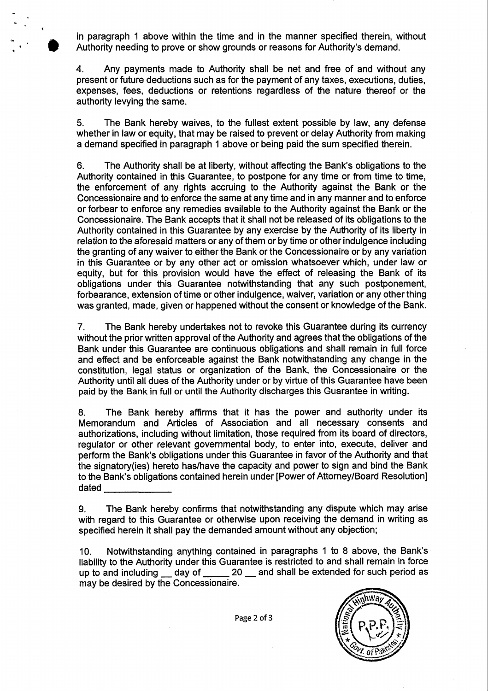in paragraph 1 above within the time and in the manner specified therein, without Authority needing to prove or show grounds or reasons for Authority's demand.

I

4. Any payments made to Authority shall be net and free of and without any present or future deductions such as for the payment of any taxes, executions, duties, expenses, fees, deductions or retentions regardless of the nature thereof or the authority levying the same.

5. The Bank hereby waives, to the fullest extent possible by law, any defense whether in law or equity, that may be raised to prevent or delay Authority from making a demand specified in paragraph 1 above or being paid the sum specified therein.

6. The Authority shall be at liberty, without affecting the Bank's obligations to the Authority contained in this Guarantee, to postpone for any time or from time to time, the enforcement of any rights accruing to the Authority against the Bank or the Concessionaire and to enforce the same at any time and in any manner and to enforce or forbear to enforce any remedies available to the Authority against the Bank or the Concessionaire. The Bank accepts that it shall not be released of its obligations to the Authority contained in this Guarantee by any exercise by the Authority of its liberty in relation to the aforesaid matters or any of them or by time or other indulgence including the granting of any waiver to either the Bank or the Concessionaire or by any variation in this Guarantee or by any other act or omission whatsoever which, under law or equity, but for this provision would have the effect of releasing the Bank of its obligations under this Guarantee notwithstanding that any such postponement, forbearance, extension of time or other indulgence, waiver, variation or any other thing was granted, made, given or happened without the consent or knowledge of the Bank.

7. The Bank hereby undertakes not to revoke this Guarantee during its currency without the prior written approval of the Authority and agrees that the obligations of the Bank under this Guarantee are continuous obligations and shall remain in full force and effect and be enforceable against the Bank notwithstanding any change in the constitution, legal status or organization of the Bank, the Concessionaire or the Authority until all dues of the Authority under or by virtue of this Guarantee have been paid by the Bank in full or until the Authority discharges this Guarantee in writing.

8. The Bank hereby affirms that it has the power and authority under its Memorandum and Articles of Association and all necessary consents and authorizations, including without limitation, those required from its board of directors, regulator or other relevant governmental body, to enter into, execute, deliver and perform the Bank's obligations under this Guarantee in favor of the Authority and that the signatory(ies) hereto has/have the capacity and power to sign and bind the Bank to the Bank's obligations contained herein under [Power of Attorney/Board Resolution] dated

9. The Bank hereby confirms that notwithstanding any dispute which may arise with regard to this Guarantee or otherwise upon receiving the demand in writing as specified herein it shall pay the demanded amount without any objection;

10. Notwithstanding anything contained in paragraphs 1 to 8 above, the Bank's liability to the Authority under this Guarantee is restricted to and shall remain in force up to and including  $\_\_$  day of  $\_\_$  20  $\_\_$  and shall be extended for such period as may be desired by the Concessionaire.

Page 2 of 3